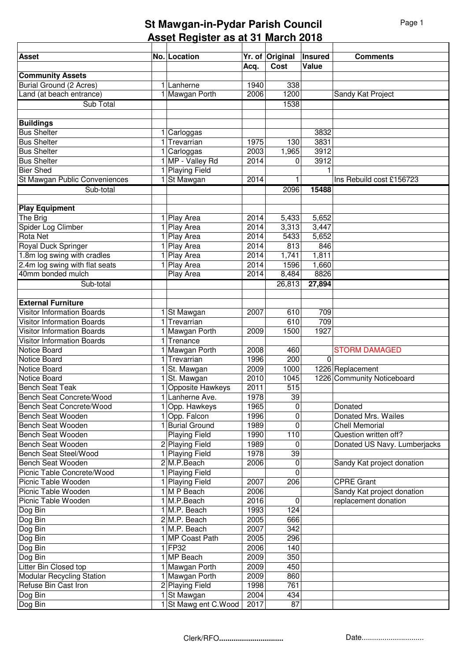## **St Mawgan-in-Pydar Parish Council Asset Register as at 31 March 2018**

| <b>Asset</b>                                      | No. Location                           |              | Yr. of Original     | <b>Insured</b> | <b>Comments</b>                                 |
|---------------------------------------------------|----------------------------------------|--------------|---------------------|----------------|-------------------------------------------------|
|                                                   |                                        | Acq.         | Cost                | Value          |                                                 |
| <b>Community Assets</b>                           |                                        |              |                     |                |                                                 |
| <b>Burial Ground (2 Acres)</b>                    | 1 Lanherne                             | 1940         | 338                 |                |                                                 |
| Land (at beach entrance)                          | 1 Mawgan Porth                         | 2006         | 1200                |                | Sandy Kat Project                               |
| Sub Total                                         |                                        |              | 1538                |                |                                                 |
|                                                   |                                        |              |                     |                |                                                 |
| <b>Buildings</b>                                  |                                        |              |                     |                |                                                 |
| <b>Bus Shelter</b>                                | Carloggas                              |              |                     | 3832           |                                                 |
| <b>Bus Shelter</b>                                | Trevarrian                             | 1975         | 130                 | 3831           |                                                 |
| <b>Bus Shelter</b>                                | Carloggas                              | 2003<br>2014 | 1,965               | 3912<br>3912   |                                                 |
| <b>Bus Shelter</b><br><b>Bier Shed</b>            | MP - Valley Rd<br><b>Playing Field</b> |              | 0                   |                |                                                 |
| St Mawgan Public Conveniences                     | St Mawgan                              | 2014         | 1                   |                | Ins Rebuild cost £156723                        |
| Sub-total                                         |                                        |              | 2096                | 15488          |                                                 |
|                                                   |                                        |              |                     |                |                                                 |
| <b>Play Equipment</b>                             |                                        |              |                     |                |                                                 |
| The Brig                                          | 1 Play Area                            | 2014         | 5,433               | 5,652          |                                                 |
| Spider Log Climber                                | Play Area                              | 2014         | 3,313               | 3,447          |                                                 |
| <b>Rota Net</b>                                   | Play Area                              | 2014         | 5433                | 5,652          |                                                 |
| Royal Duck Springer                               | Play Area                              | 2014         | 813                 | 846            |                                                 |
| 1.8m log swing with cradles                       | Play Area                              | 2014         | 1,741               | 1,811          |                                                 |
| 2.4m log swing with flat seats                    | Play Area                              | 2014         | 1596                | 1,660          |                                                 |
| 40mm bonded mulch                                 | Play Area                              | 2014         | 8,484               | 8826           |                                                 |
| Sub-total                                         |                                        |              | 26,813              | 27,894         |                                                 |
| <b>External Furniture</b>                         |                                        |              |                     |                |                                                 |
| <b>Visitor Information Boards</b>                 | 1 St Mawgan                            | 2007         | 610                 | 709            |                                                 |
| <b>Visitor Information Boards</b>                 | Trevarrian                             |              | 610                 | 709            |                                                 |
| <b>Visitor Information Boards</b>                 | Mawgan Porth                           | 2009         | 1500                | 1927           |                                                 |
| <b>Visitor Information Boards</b>                 | 1 Trenance                             |              |                     |                |                                                 |
| Notice Board                                      | Mawgan Porth                           | 2008         | 460                 |                | <b>STORM DAMAGED</b>                            |
| Notice Board                                      | 1 Trevarrian                           | 1996         | $\overline{200}$    | $\Omega$       |                                                 |
| Notice Board                                      | St. Mawgan                             | 2009         | 1000                |                | 1226 Replacement                                |
| Notice Board                                      | St. Mawgan                             | 2010         | 1045                |                | 1226 Community Noticeboard                      |
| <b>Bench Seat Teak</b>                            | 1 Opposite Hawkeys                     | 2011         | 515                 |                |                                                 |
| <b>Bench Seat Concrete/Wood</b>                   | 1 Lanherne Ave.                        | 1978         | 39                  |                |                                                 |
| Bench Seat Concrete/Wood                          | 1 Opp. Hawkeys                         | 1965         | 0                   |                | Donated                                         |
| Bench Seat Wooden                                 | 1 Opp. Falcon                          | 1996         | 0                   |                | Donated Mrs. Wailes                             |
| Bench Seat Wooden                                 | 1 Burial Ground                        | 1989         | 0                   |                | <b>Chell Memorial</b>                           |
| Bench Seat Wooden                                 | <b>Playing Field</b>                   | 1990         | 110                 |                | Question written off?                           |
| Bench Seat Wooden                                 | 2 Playing Field                        | 1989         | $\mathbf 0$         |                | Donated US Navy. Lumberjacks                    |
| Bench Seat Steel/Wood                             | 1 Playing Field                        | 1978         | 39                  |                |                                                 |
| Bench Seat Wooden                                 | 2M.P.Beach                             | 2006         | 0                   |                | Sandy Kat project donation                      |
| Picnic Table Concrete/Wood<br>Picnic Table Wooden | 1 Playing Field                        |              | $\mathbf{0}$<br>206 |                |                                                 |
| Picnic Table Wooden                               | 1 Playing Field<br>1 M P Beach         | 2007<br>2006 |                     |                | <b>CPRE Grant</b><br>Sandy Kat project donation |
| Picnic Table Wooden                               | 1 M.P.Beach                            | 2016         | $\mathbf 0$         |                | replacement donation                            |
| Dog Bin                                           | 1 M.P. Beach                           | 1993         | 124                 |                |                                                 |
| Dog Bin                                           | 2M.P. Beach                            | 2005         | 666                 |                |                                                 |
| Dog Bin                                           | 1 M.P. Beach                           | 2007         | 342                 |                |                                                 |
| Dog Bin                                           | 1 MP Coast Path                        | 2005         | 296                 |                |                                                 |
| Dog Bin                                           | $1$ FP32                               | 2006         | 140                 |                |                                                 |
| Dog Bin                                           | 1 MP Beach                             | 2009         | 350                 |                |                                                 |
| Litter Bin Closed top                             | 1 Mawgan Porth                         | 2009         | 450                 |                |                                                 |
| <b>Modular Recycling Station</b>                  | 1 Mawgan Porth                         | 2009         | 860                 |                |                                                 |
| Refuse Bin Cast Iron                              | 2 Playing Field                        | 1998         | 761                 |                |                                                 |
| Dog Bin                                           | 1 St Mawgan                            | 2004         | 434                 |                |                                                 |
| Dog Bin                                           | 1 St Mawg ent C.Wood                   | 2017         | 87                  |                |                                                 |